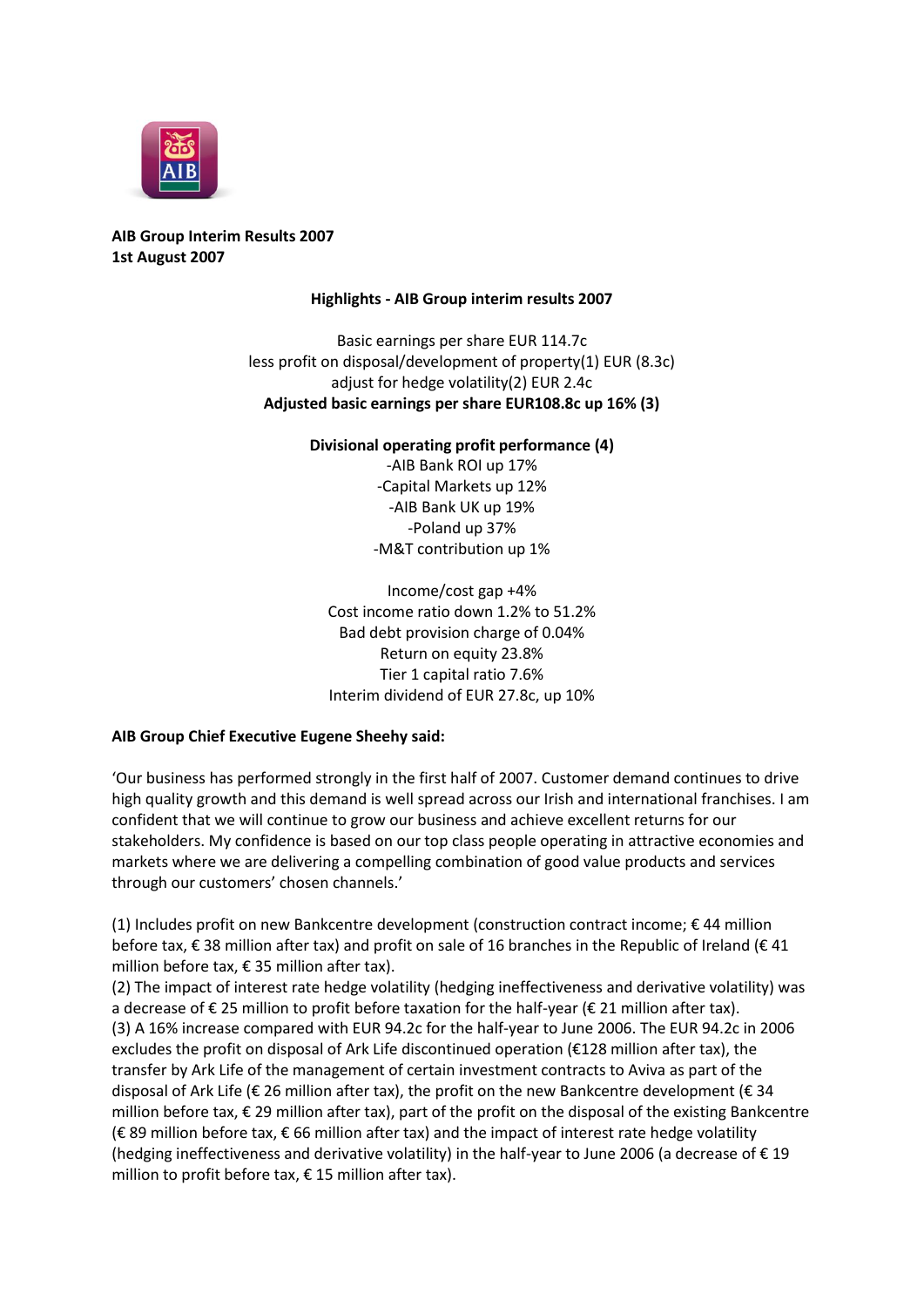

# **AIB Group Interim Results 2007 1st August 2007**

## **Highlights - AIB Group interim results 2007**

Basic earnings per share EUR 114.7c less profit on disposal/development of property(1) EUR (8.3c) adjust for hedge volatility(2) EUR 2.4c **Adjusted basic earnings per share EUR108.8c up 16% (3)**

## **Divisional operating profit performance (4)**

-AIB Bank ROI up 17% -Capital Markets up 12% -AIB Bank UK up 19% -Poland up 37% -M&T contribution up 1%

Income/cost gap +4% Cost income ratio down 1.2% to 51.2% Bad debt provision charge of 0.04% Return on equity 23.8% Tier 1 capital ratio 7.6% Interim dividend of EUR 27.8c, up 10%

# **AIB Group Chief Executive Eugene Sheehy said:**

'Our business has performed strongly in the first half of 2007. Customer demand continues to drive high quality growth and this demand is well spread across our Irish and international franchises. I am confident that we will continue to grow our business and achieve excellent returns for our stakeholders. My confidence is based on our top class people operating in attractive economies and markets where we are delivering a compelling combination of good value products and services through our customers' chosen channels.'

(1) Includes profit on new Bankcentre development (construction contract income; € 44 million before tax, € 38 million after tax) and profit on sale of 16 branches in the Republic of Ireland (€ 41 million before tax, € 35 million after tax).

(2) The impact of interest rate hedge volatility (hedging ineffectiveness and derivative volatility) was a decrease of € 25 million to profit before taxation for the half-year (€ 21 million after tax). (3) A 16% increase compared with EUR 94.2c for the half-year to June 2006. The EUR 94.2c in 2006 excludes the profit on disposal of Ark Life discontinued operation (€128 million after tax), the transfer by Ark Life of the management of certain investment contracts to Aviva as part of the disposal of Ark Life ( $\epsilon$  26 million after tax), the profit on the new Bankcentre development ( $\epsilon$  34 million before tax, € 29 million after tax), part of the profit on the disposal of the existing Bankcentre (€ 89 million before tax, € 66 million after tax) and the impact of interest rate hedge volatility (hedging ineffectiveness and derivative volatility) in the half-year to June 2006 (a decrease of  $\epsilon$  19 million to profit before tax,  $\epsilon$  15 million after tax).